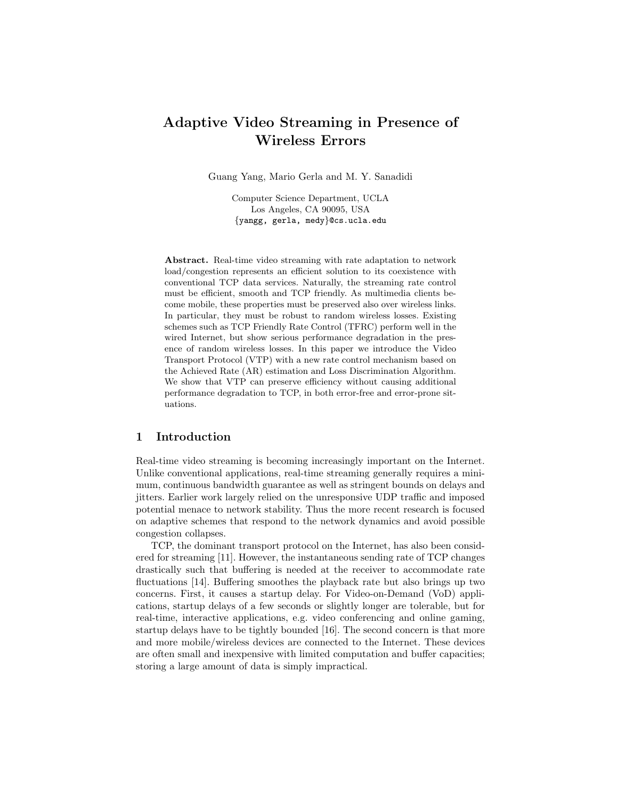# Adaptive Video Streaming in Presence of Wireless Errors

Guang Yang, Mario Gerla and M. Y. Sanadidi

Computer Science Department, UCLA Los Angeles, CA 90095, USA {yangg, gerla, medy}@cs.ucla.edu

Abstract. Real-time video streaming with rate adaptation to network load/congestion represents an efficient solution to its coexistence with conventional TCP data services. Naturally, the streaming rate control must be efficient, smooth and TCP friendly. As multimedia clients become mobile, these properties must be preserved also over wireless links. In particular, they must be robust to random wireless losses. Existing schemes such as TCP Friendly Rate Control (TFRC) perform well in the wired Internet, but show serious performance degradation in the presence of random wireless losses. In this paper we introduce the Video Transport Protocol (VTP) with a new rate control mechanism based on the Achieved Rate (AR) estimation and Loss Discrimination Algorithm. We show that VTP can preserve efficiency without causing additional performance degradation to TCP, in both error-free and error-prone situations.

### 1 Introduction

Real-time video streaming is becoming increasingly important on the Internet. Unlike conventional applications, real-time streaming generally requires a minimum, continuous bandwidth guarantee as well as stringent bounds on delays and jitters. Earlier work largely relied on the unresponsive UDP traffic and imposed potential menace to network stability. Thus the more recent research is focused on adaptive schemes that respond to the network dynamics and avoid possible congestion collapses.

TCP, the dominant transport protocol on the Internet, has also been considered for streaming [11]. However, the instantaneous sending rate of TCP changes drastically such that buffering is needed at the receiver to accommodate rate fluctuations [14]. Buffering smoothes the playback rate but also brings up two concerns. First, it causes a startup delay. For Video-on-Demand (VoD) applications, startup delays of a few seconds or slightly longer are tolerable, but for real-time, interactive applications, e.g. video conferencing and online gaming, startup delays have to be tightly bounded [16]. The second concern is that more and more mobile/wireless devices are connected to the Internet. These devices are often small and inexpensive with limited computation and buffer capacities; storing a large amount of data is simply impractical.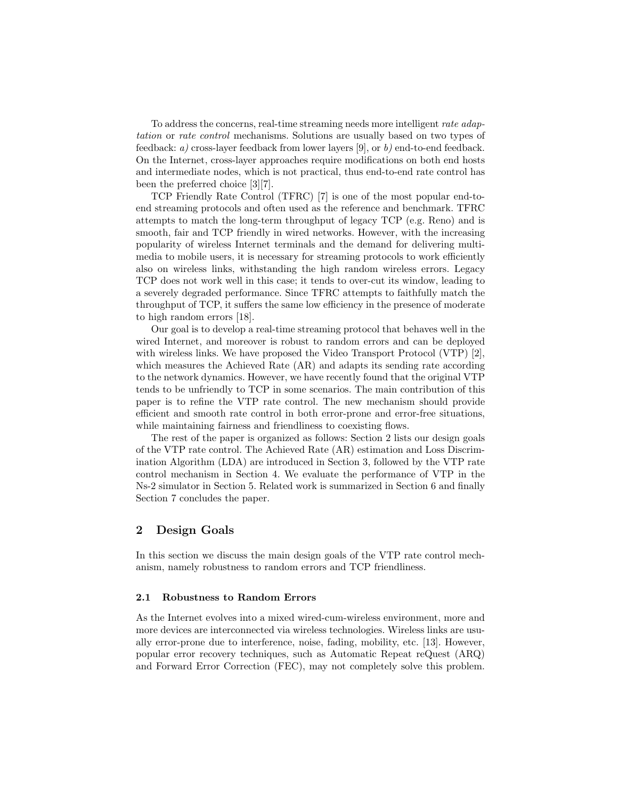To address the concerns, real-time streaming needs more intelligent rate adaptation or rate control mechanisms. Solutions are usually based on two types of feedback: a) cross-layer feedback from lower layers [9], or b) end-to-end feedback. On the Internet, cross-layer approaches require modifications on both end hosts and intermediate nodes, which is not practical, thus end-to-end rate control has been the preferred choice [3][7].

TCP Friendly Rate Control (TFRC) [7] is one of the most popular end-toend streaming protocols and often used as the reference and benchmark. TFRC attempts to match the long-term throughput of legacy TCP (e.g. Reno) and is smooth, fair and TCP friendly in wired networks. However, with the increasing popularity of wireless Internet terminals and the demand for delivering multimedia to mobile users, it is necessary for streaming protocols to work efficiently also on wireless links, withstanding the high random wireless errors. Legacy TCP does not work well in this case; it tends to over-cut its window, leading to a severely degraded performance. Since TFRC attempts to faithfully match the throughput of TCP, it suffers the same low efficiency in the presence of moderate to high random errors [18].

Our goal is to develop a real-time streaming protocol that behaves well in the wired Internet, and moreover is robust to random errors and can be deployed with wireless links. We have proposed the Video Transport Protocol (VTP) [2], which measures the Achieved Rate (AR) and adapts its sending rate according to the network dynamics. However, we have recently found that the original VTP tends to be unfriendly to TCP in some scenarios. The main contribution of this paper is to refine the VTP rate control. The new mechanism should provide efficient and smooth rate control in both error-prone and error-free situations, while maintaining fairness and friendliness to coexisting flows.

The rest of the paper is organized as follows: Section 2 lists our design goals of the VTP rate control. The Achieved Rate (AR) estimation and Loss Discrimination Algorithm (LDA) are introduced in Section 3, followed by the VTP rate control mechanism in Section 4. We evaluate the performance of VTP in the Ns-2 simulator in Section 5. Related work is summarized in Section 6 and finally Section 7 concludes the paper.

# 2 Design Goals

In this section we discuss the main design goals of the VTP rate control mechanism, namely robustness to random errors and TCP friendliness.

### 2.1 Robustness to Random Errors

As the Internet evolves into a mixed wired-cum-wireless environment, more and more devices are interconnected via wireless technologies. Wireless links are usually error-prone due to interference, noise, fading, mobility, etc. [13]. However, popular error recovery techniques, such as Automatic Repeat reQuest (ARQ) and Forward Error Correction (FEC), may not completely solve this problem.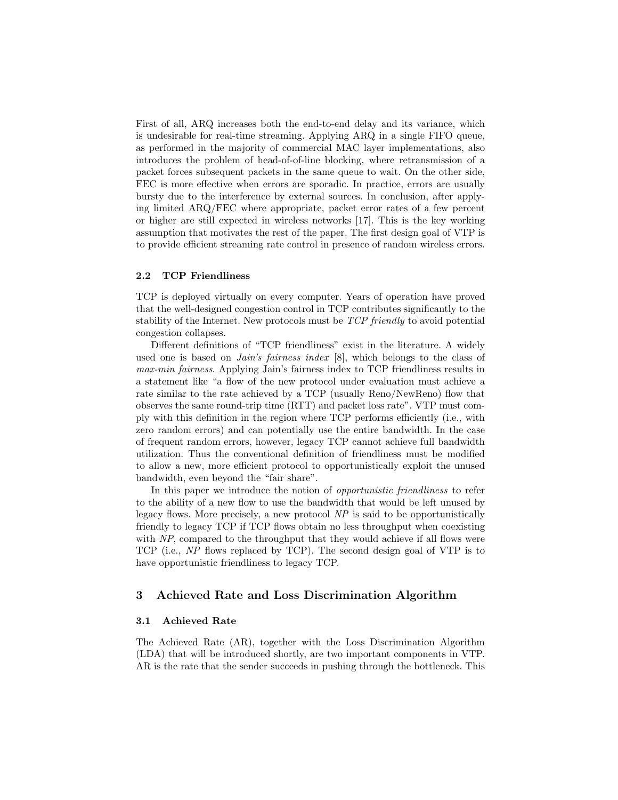First of all, ARQ increases both the end-to-end delay and its variance, which is undesirable for real-time streaming. Applying ARQ in a single FIFO queue, as performed in the majority of commercial MAC layer implementations, also introduces the problem of head-of-of-line blocking, where retransmission of a packet forces subsequent packets in the same queue to wait. On the other side, FEC is more effective when errors are sporadic. In practice, errors are usually bursty due to the interference by external sources. In conclusion, after applying limited ARQ/FEC where appropriate, packet error rates of a few percent or higher are still expected in wireless networks [17]. This is the key working assumption that motivates the rest of the paper. The first design goal of VTP is to provide efficient streaming rate control in presence of random wireless errors.

### 2.2 TCP Friendliness

TCP is deployed virtually on every computer. Years of operation have proved that the well-designed congestion control in TCP contributes significantly to the stability of the Internet. New protocols must be TCP friendly to avoid potential congestion collapses.

Different definitions of "TCP friendliness" exist in the literature. A widely used one is based on Jain's fairness index [8], which belongs to the class of max-min fairness. Applying Jain's fairness index to TCP friendliness results in a statement like "a flow of the new protocol under evaluation must achieve a rate similar to the rate achieved by a TCP (usually Reno/NewReno) flow that observes the same round-trip time (RTT) and packet loss rate". VTP must comply with this definition in the region where TCP performs efficiently (i.e., with zero random errors) and can potentially use the entire bandwidth. In the case of frequent random errors, however, legacy TCP cannot achieve full bandwidth utilization. Thus the conventional definition of friendliness must be modified to allow a new, more efficient protocol to opportunistically exploit the unused bandwidth, even beyond the "fair share".

In this paper we introduce the notion of opportunistic friendliness to refer to the ability of a new flow to use the bandwidth that would be left unused by legacy flows. More precisely, a new protocol NP is said to be opportunistically friendly to legacy TCP if TCP flows obtain no less throughput when coexisting with NP, compared to the throughput that they would achieve if all flows were TCP (i.e., NP flows replaced by TCP). The second design goal of VTP is to have opportunistic friendliness to legacy TCP.

# 3 Achieved Rate and Loss Discrimination Algorithm

## 3.1 Achieved Rate

The Achieved Rate (AR), together with the Loss Discrimination Algorithm (LDA) that will be introduced shortly, are two important components in VTP. AR is the rate that the sender succeeds in pushing through the bottleneck. This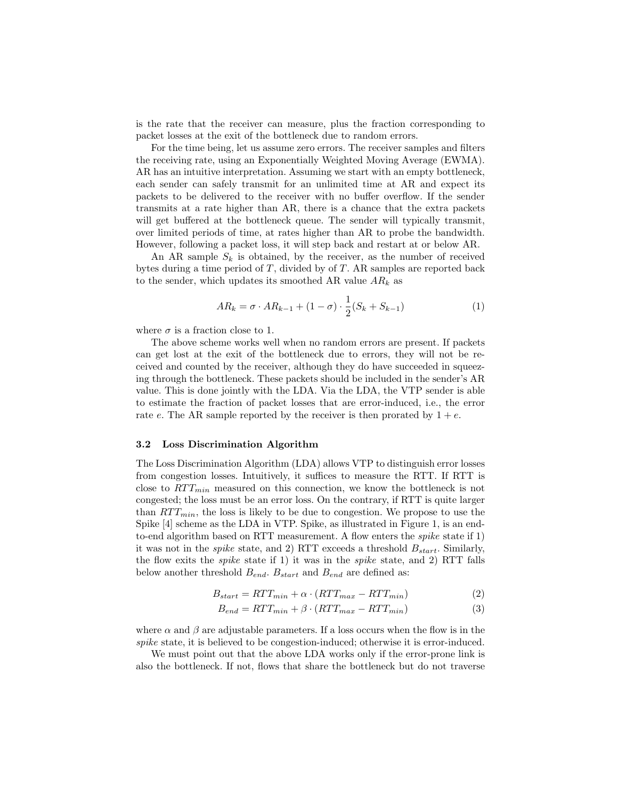is the rate that the receiver can measure, plus the fraction corresponding to packet losses at the exit of the bottleneck due to random errors.

For the time being, let us assume zero errors. The receiver samples and filters the receiving rate, using an Exponentially Weighted Moving Average (EWMA). AR has an intuitive interpretation. Assuming we start with an empty bottleneck, each sender can safely transmit for an unlimited time at AR and expect its packets to be delivered to the receiver with no buffer overflow. If the sender transmits at a rate higher than AR, there is a chance that the extra packets will get buffered at the bottleneck queue. The sender will typically transmit, over limited periods of time, at rates higher than AR to probe the bandwidth. However, following a packet loss, it will step back and restart at or below AR.

An AR sample  $S_k$  is obtained, by the receiver, as the number of received bytes during a time period of  $T$ , divided by of  $T$ . AR samples are reported back to the sender, which updates its smoothed AR value  $AR_k$  as

$$
AR_k = \sigma \cdot AR_{k-1} + (1 - \sigma) \cdot \frac{1}{2}(S_k + S_{k-1})
$$
\n(1)

where  $\sigma$  is a fraction close to 1.

The above scheme works well when no random errors are present. If packets can get lost at the exit of the bottleneck due to errors, they will not be received and counted by the receiver, although they do have succeeded in squeezing through the bottleneck. These packets should be included in the sender's AR value. This is done jointly with the LDA. Via the LDA, the VTP sender is able to estimate the fraction of packet losses that are error-induced, i.e., the error rate e. The AR sample reported by the receiver is then prorated by  $1 + e$ .

#### 3.2 Loss Discrimination Algorithm

The Loss Discrimination Algorithm (LDA) allows VTP to distinguish error losses from congestion losses. Intuitively, it suffices to measure the RTT. If RTT is close to  $RTT_{min}$  measured on this connection, we know the bottleneck is not congested; the loss must be an error loss. On the contrary, if RTT is quite larger than  $RTT_{min}$ , the loss is likely to be due to congestion. We propose to use the Spike [4] scheme as the LDA in VTP. Spike, as illustrated in Figure 1, is an endto-end algorithm based on RTT measurement. A flow enters the spike state if 1) it was not in the *spike* state, and 2) RTT exceeds a threshold  $B_{start}$ . Similarly, the flow exits the spike state if 1) it was in the spike state, and 2) RTT falls below another threshold  $B_{end}$ .  $B_{start}$  and  $B_{end}$  are defined as:

$$
B_{start} = RTT_{min} + \alpha \cdot (RTT_{max} - RTT_{min}) \tag{2}
$$

$$
B_{end} = RTT_{min} + \beta \cdot (RTT_{max} - RTT_{min})
$$
\n(3)

where  $\alpha$  and  $\beta$  are adjustable parameters. If a loss occurs when the flow is in the spike state, it is believed to be congestion-induced; otherwise it is error-induced.

We must point out that the above LDA works only if the error-prone link is also the bottleneck. If not, flows that share the bottleneck but do not traverse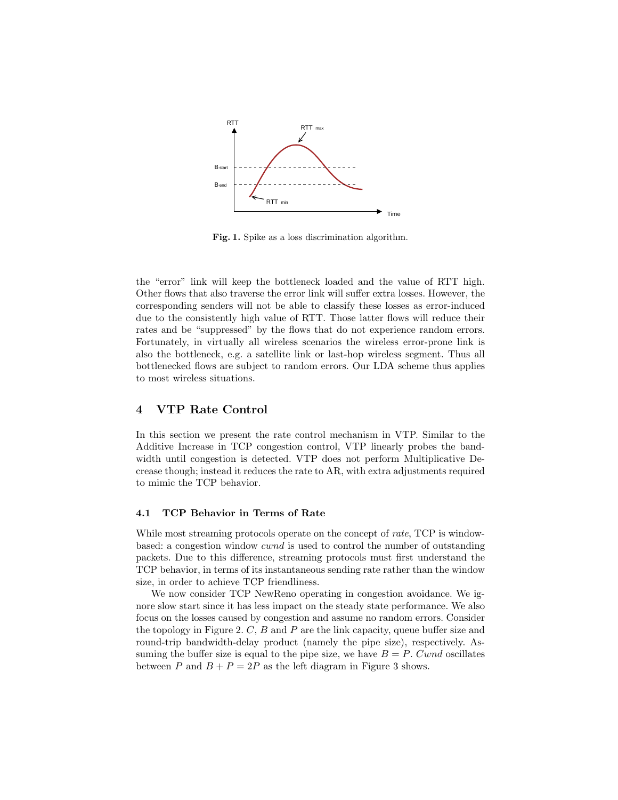

Fig. 1. Spike as a loss discrimination algorithm.

the "error" link will keep the bottleneck loaded and the value of RTT high. Other flows that also traverse the error link will suffer extra losses. However, the corresponding senders will not be able to classify these losses as error-induced due to the consistently high value of RTT. Those latter flows will reduce their rates and be "suppressed" by the flows that do not experience random errors. Fortunately, in virtually all wireless scenarios the wireless error-prone link is also the bottleneck, e.g. a satellite link or last-hop wireless segment. Thus all bottlenecked flows are subject to random errors. Our LDA scheme thus applies to most wireless situations.

## 4 VTP Rate Control

In this section we present the rate control mechanism in VTP. Similar to the Additive Increase in TCP congestion control, VTP linearly probes the bandwidth until congestion is detected. VTP does not perform Multiplicative Decrease though; instead it reduces the rate to AR, with extra adjustments required to mimic the TCP behavior.

#### 4.1 TCP Behavior in Terms of Rate

While most streaming protocols operate on the concept of *rate*, TCP is windowbased: a congestion window cwnd is used to control the number of outstanding packets. Due to this difference, streaming protocols must first understand the TCP behavior, in terms of its instantaneous sending rate rather than the window size, in order to achieve TCP friendliness.

We now consider TCP NewReno operating in congestion avoidance. We ignore slow start since it has less impact on the steady state performance. We also focus on the losses caused by congestion and assume no random errors. Consider the topology in Figure 2.  $C$ ,  $B$  and  $P$  are the link capacity, queue buffer size and round-trip bandwidth-delay product (namely the pipe size), respectively. Assuming the buffer size is equal to the pipe size, we have  $B = P$ . Cwnd oscillates between P and  $B + P = 2P$  as the left diagram in Figure 3 shows.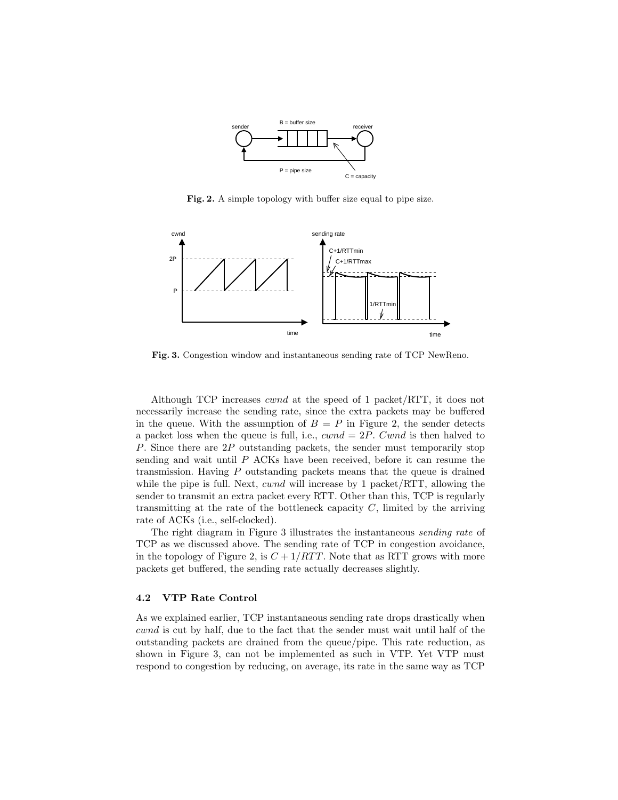

Fig. 2. A simple topology with buffer size equal to pipe size.



Fig. 3. Congestion window and instantaneous sending rate of TCP NewReno.

Although TCP increases cwnd at the speed of 1 packet/RTT, it does not necessarily increase the sending rate, since the extra packets may be buffered in the queue. With the assumption of  $B = P$  in Figure 2, the sender detects a packet loss when the queue is full, i.e.,  $cwnd = 2P$ . Cwnd is then halved to P. Since there are  $2P$  outstanding packets, the sender must temporarily stop sending and wait until P ACKs have been received, before it can resume the transmission. Having P outstanding packets means that the queue is drained while the pipe is full. Next, *cwnd* will increase by 1 packet/RTT, allowing the sender to transmit an extra packet every RTT. Other than this, TCP is regularly transmitting at the rate of the bottleneck capacity  $C$ , limited by the arriving rate of ACKs (i.e., self-clocked).

The right diagram in Figure 3 illustrates the instantaneous sending rate of TCP as we discussed above. The sending rate of TCP in congestion avoidance, in the topology of Figure 2, is  $C + 1/RTT$ . Note that as RTT grows with more packets get buffered, the sending rate actually decreases slightly.

#### 4.2 VTP Rate Control

As we explained earlier, TCP instantaneous sending rate drops drastically when cwnd is cut by half, due to the fact that the sender must wait until half of the outstanding packets are drained from the queue/pipe. This rate reduction, as shown in Figure 3, can not be implemented as such in VTP. Yet VTP must respond to congestion by reducing, on average, its rate in the same way as TCP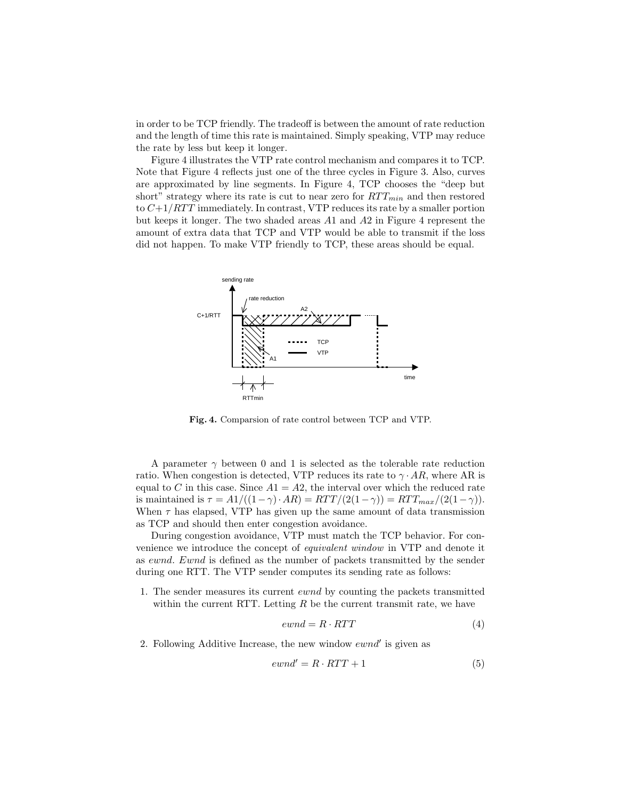in order to be TCP friendly. The tradeoff is between the amount of rate reduction and the length of time this rate is maintained. Simply speaking, VTP may reduce the rate by less but keep it longer.

Figure 4 illustrates the VTP rate control mechanism and compares it to TCP. Note that Figure 4 reflects just one of the three cycles in Figure 3. Also, curves are approximated by line segments. In Figure 4, TCP chooses the "deep but short" strategy where its rate is cut to near zero for  $RTT_{min}$  and then restored to  $C+1/RTT$  immediately. In contrast, VTP reduces its rate by a smaller portion but keeps it longer. The two shaded areas A1 and A2 in Figure 4 represent the amount of extra data that TCP and VTP would be able to transmit if the loss did not happen. To make VTP friendly to TCP, these areas should be equal.



Fig. 4. Comparsion of rate control between TCP and VTP.

A parameter  $\gamma$  between 0 and 1 is selected as the tolerable rate reduction ratio. When congestion is detected, VTP reduces its rate to  $\gamma \cdot AR$ , where AR is equal to C in this case. Since  $A1 = A2$ , the interval over which the reduced rate is maintained is  $\tau = A1/((1-\gamma) \cdot AR) = RTT/(2(1-\gamma)) = RTT_{max}/(2(1-\gamma)).$ When  $\tau$  has elapsed, VTP has given up the same amount of data transmission as TCP and should then enter congestion avoidance.

During congestion avoidance, VTP must match the TCP behavior. For convenience we introduce the concept of equivalent window in VTP and denote it as ewnd. Ewnd is defined as the number of packets transmitted by the sender during one RTT. The VTP sender computes its sending rate as follows:

1. The sender measures its current ewnd by counting the packets transmitted within the current RTT. Letting  $R$  be the current transmit rate, we have

$$
ewnd = R \cdot RTT \tag{4}
$$

2. Following Additive Increase, the new window  $\mathit{ewnd}'$  is given as

$$
ewnd' = R \cdot RTT + 1 \tag{5}
$$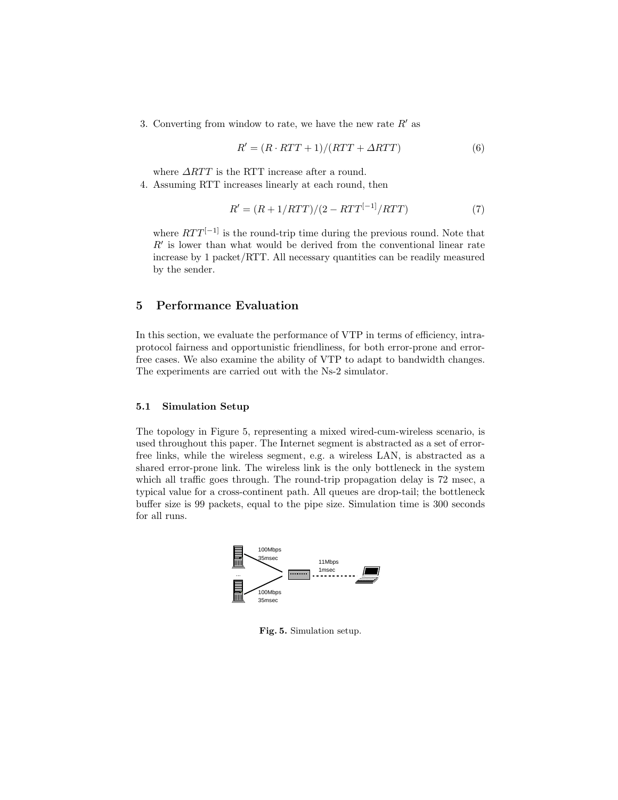3. Converting from window to rate, we have the new rate  $R'$  as

$$
R' = (R \cdot RTT + 1)/(RTT + \Delta RTT) \tag{6}
$$

where  $\triangle RTT$  is the RTT increase after a round.

4. Assuming RTT increases linearly at each round, then

$$
R' = (R + 1/RTT)/(2 - RTT^{[-1]}/RTT)
$$
\n(7)

where  $RTT^{[-1]}$  is the round-trip time during the previous round. Note that  $R'$  is lower than what would be derived from the conventional linear rate increase by 1 packet/RTT. All necessary quantities can be readily measured by the sender.

# 5 Performance Evaluation

In this section, we evaluate the performance of VTP in terms of efficiency, intraprotocol fairness and opportunistic friendliness, for both error-prone and errorfree cases. We also examine the ability of VTP to adapt to bandwidth changes. The experiments are carried out with the Ns-2 simulator.

## 5.1 Simulation Setup

The topology in Figure 5, representing a mixed wired-cum-wireless scenario, is used throughout this paper. The Internet segment is abstracted as a set of errorfree links, while the wireless segment, e.g. a wireless LAN, is abstracted as a shared error-prone link. The wireless link is the only bottleneck in the system which all traffic goes through. The round-trip propagation delay is 72 msec, a typical value for a cross-continent path. All queues are drop-tail; the bottleneck buffer size is 99 packets, equal to the pipe size. Simulation time is 300 seconds for all runs.



Fig. 5. Simulation setup.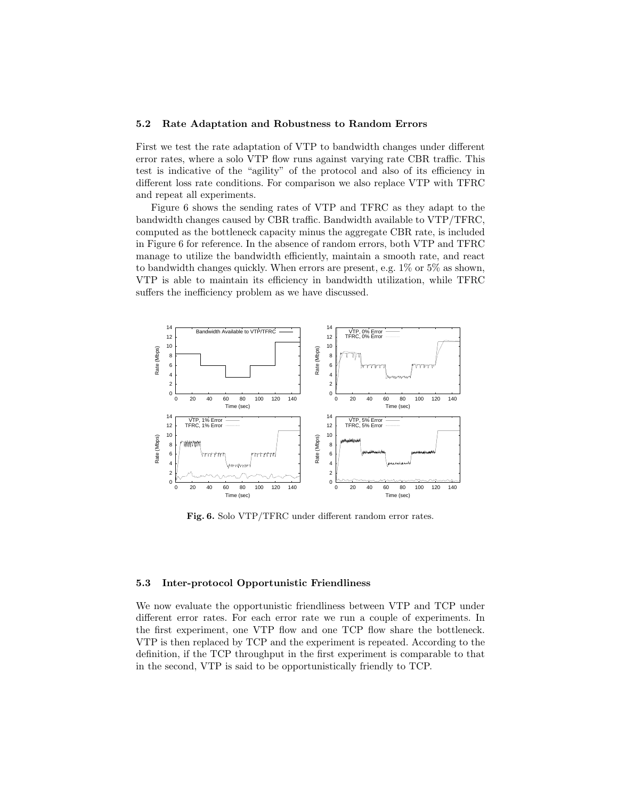#### 5.2 Rate Adaptation and Robustness to Random Errors

First we test the rate adaptation of VTP to bandwidth changes under different error rates, where a solo VTP flow runs against varying rate CBR traffic. This test is indicative of the "agility" of the protocol and also of its efficiency in different loss rate conditions. For comparison we also replace VTP with TFRC and repeat all experiments.

Figure 6 shows the sending rates of VTP and TFRC as they adapt to the bandwidth changes caused by CBR traffic. Bandwidth available to VTP/TFRC, computed as the bottleneck capacity minus the aggregate CBR rate, is included in Figure 6 for reference. In the absence of random errors, both VTP and TFRC manage to utilize the bandwidth efficiently, maintain a smooth rate, and react to bandwidth changes quickly. When errors are present, e.g. 1% or 5% as shown, VTP is able to maintain its efficiency in bandwidth utilization, while TFRC suffers the inefficiency problem as we have discussed.



Fig. 6. Solo VTP/TFRC under different random error rates.

### 5.3 Inter-protocol Opportunistic Friendliness

We now evaluate the opportunistic friendliness between VTP and TCP under different error rates. For each error rate we run a couple of experiments. In the first experiment, one VTP flow and one TCP flow share the bottleneck. VTP is then replaced by TCP and the experiment is repeated. According to the definition, if the TCP throughput in the first experiment is comparable to that in the second, VTP is said to be opportunistically friendly to TCP.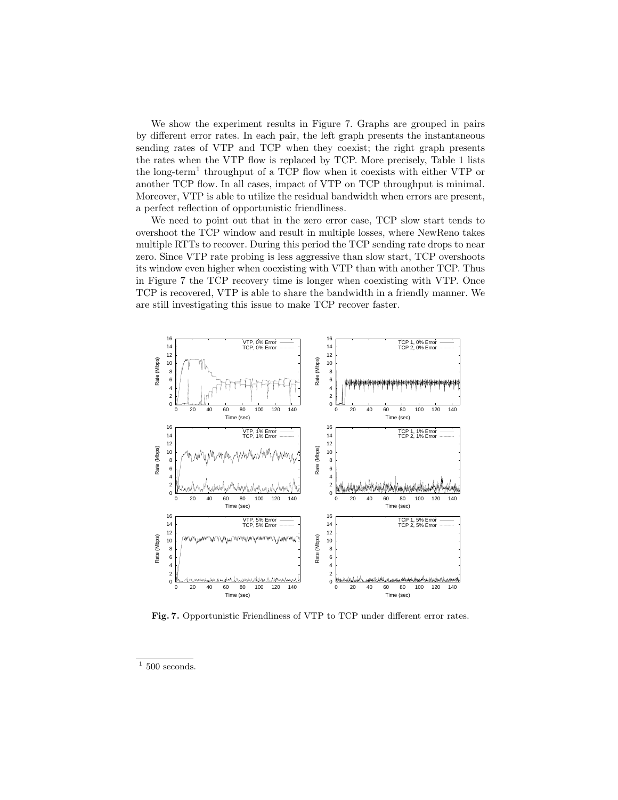We show the experiment results in Figure 7. Graphs are grouped in pairs by different error rates. In each pair, the left graph presents the instantaneous sending rates of VTP and TCP when they coexist; the right graph presents the rates when the VTP flow is replaced by TCP. More precisely, Table 1 lists the long-term<sup>1</sup> throughput of a TCP flow when it coexists with either VTP or another TCP flow. In all cases, impact of VTP on TCP throughput is minimal. Moreover, VTP is able to utilize the residual bandwidth when errors are present, a perfect reflection of opportunistic friendliness.

We need to point out that in the zero error case, TCP slow start tends to overshoot the TCP window and result in multiple losses, where NewReno takes multiple RTTs to recover. During this period the TCP sending rate drops to near zero. Since VTP rate probing is less aggressive than slow start, TCP overshoots its window even higher when coexisting with VTP than with another TCP. Thus in Figure 7 the TCP recovery time is longer when coexisting with VTP. Once TCP is recovered, VTP is able to share the bandwidth in a friendly manner. We are still investigating this issue to make TCP recover faster.



Fig. 7. Opportunistic Friendliness of VTP to TCP under different error rates.

 $^{\rm 1}$  500 seconds.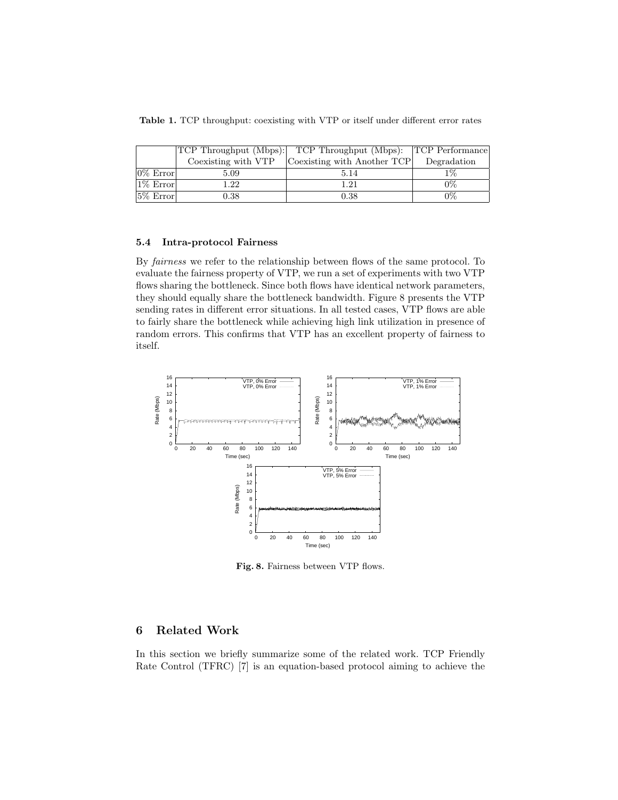|              |                     | TCP Throughput (Mbps): TCP Throughput (Mbps): TCP Performance |             |
|--------------|---------------------|---------------------------------------------------------------|-------------|
|              | Coexisting with VTP | Coexisting with Another TCP                                   | Degradation |
| $ 0\%$ Error | 5.09                | 5.14                                                          | 1%          |
| $ 1\%$ Error | 1.22                | 1.21                                                          | 0%          |
| $5\%$ Error  | $0.38\,$            | 0.38                                                          | $0\%$       |

Table 1. TCP throughput: coexisting with VTP or itself under different error rates

#### 5.4 Intra-protocol Fairness

By fairness we refer to the relationship between flows of the same protocol. To evaluate the fairness property of VTP, we run a set of experiments with two VTP flows sharing the bottleneck. Since both flows have identical network parameters, they should equally share the bottleneck bandwidth. Figure 8 presents the VTP sending rates in different error situations. In all tested cases, VTP flows are able to fairly share the bottleneck while achieving high link utilization in presence of random errors. This confirms that VTP has an excellent property of fairness to itself.



Fig. 8. Fairness between VTP flows.

# 6 Related Work

In this section we briefly summarize some of the related work. TCP Friendly Rate Control (TFRC) [7] is an equation-based protocol aiming to achieve the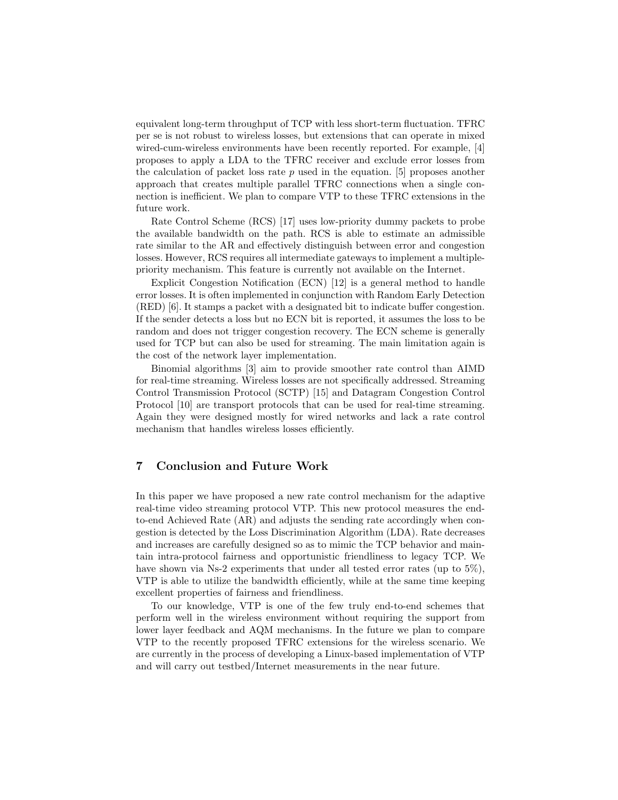equivalent long-term throughput of TCP with less short-term fluctuation. TFRC per se is not robust to wireless losses, but extensions that can operate in mixed wired-cum-wireless environments have been recently reported. For example, [4] proposes to apply a LDA to the TFRC receiver and exclude error losses from the calculation of packet loss rate  $p$  used in the equation. [5] proposes another approach that creates multiple parallel TFRC connections when a single connection is inefficient. We plan to compare VTP to these TFRC extensions in the future work.

Rate Control Scheme (RCS) [17] uses low-priority dummy packets to probe the available bandwidth on the path. RCS is able to estimate an admissible rate similar to the AR and effectively distinguish between error and congestion losses. However, RCS requires all intermediate gateways to implement a multiplepriority mechanism. This feature is currently not available on the Internet.

Explicit Congestion Notification (ECN) [12] is a general method to handle error losses. It is often implemented in conjunction with Random Early Detection (RED) [6]. It stamps a packet with a designated bit to indicate buffer congestion. If the sender detects a loss but no ECN bit is reported, it assumes the loss to be random and does not trigger congestion recovery. The ECN scheme is generally used for TCP but can also be used for streaming. The main limitation again is the cost of the network layer implementation.

Binomial algorithms [3] aim to provide smoother rate control than AIMD for real-time streaming. Wireless losses are not specifically addressed. Streaming Control Transmission Protocol (SCTP) [15] and Datagram Congestion Control Protocol [10] are transport protocols that can be used for real-time streaming. Again they were designed mostly for wired networks and lack a rate control mechanism that handles wireless losses efficiently.

# 7 Conclusion and Future Work

In this paper we have proposed a new rate control mechanism for the adaptive real-time video streaming protocol VTP. This new protocol measures the endto-end Achieved Rate (AR) and adjusts the sending rate accordingly when congestion is detected by the Loss Discrimination Algorithm (LDA). Rate decreases and increases are carefully designed so as to mimic the TCP behavior and maintain intra-protocol fairness and opportunistic friendliness to legacy TCP. We have shown via Ns-2 experiments that under all tested error rates (up to  $5\%$ ), VTP is able to utilize the bandwidth efficiently, while at the same time keeping excellent properties of fairness and friendliness.

To our knowledge, VTP is one of the few truly end-to-end schemes that perform well in the wireless environment without requiring the support from lower layer feedback and AQM mechanisms. In the future we plan to compare VTP to the recently proposed TFRC extensions for the wireless scenario. We are currently in the process of developing a Linux-based implementation of VTP and will carry out testbed/Internet measurements in the near future.